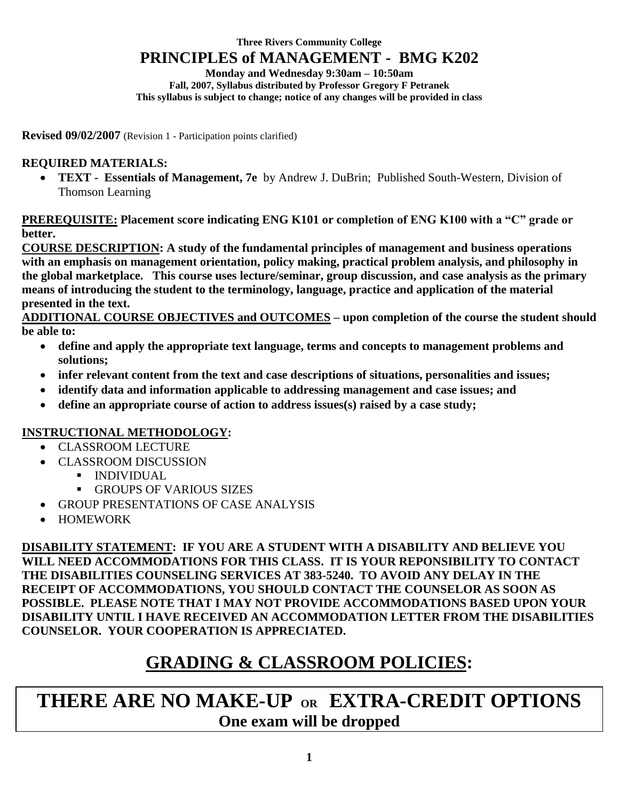#### **Three Rivers Community College PRINCIPLES of MANAGEMENT - BMG K202**

**Monday and Wednesday 9:30am – 10:50am Fall, 2007, Syllabus distributed by Professor Gregory F Petranek This syllabus is subject to change; notice of any changes will be provided in class**

**Revised 09/02/2007** (Revision 1 - Participation points clarified)

### **REQUIRED MATERIALS:**

 **TEXT - Essentials of Management, 7e** by Andrew J. DuBrin; Published South-Western, Division of Thomson Learning

**PREREQUISITE: Placement score indicating ENG K101 or completion of ENG K100 with a "C" grade or better.**

**COURSE DESCRIPTION: A study of the fundamental principles of management and business operations with an emphasis on management orientation, policy making, practical problem analysis, and philosophy in the global marketplace. This course uses lecture/seminar, group discussion, and case analysis as the primary means of introducing the student to the terminology, language, practice and application of the material presented in the text.**

**ADDITIONAL COURSE OBJECTIVES and OUTCOMES – upon completion of the course the student should be able to:**

- **define and apply the appropriate text language, terms and concepts to management problems and solutions;**
- **infer relevant content from the text and case descriptions of situations, personalities and issues;**
- **identify data and information applicable to addressing management and case issues; and**
- **define an appropriate course of action to address issues(s) raised by a case study;**

### **INSTRUCTIONAL METHODOLOGY:**

- CLASSROOM LECTURE
- CLASSROOM DISCUSSION
	- **INDIVIDUAL** 
		- **GROUPS OF VARIOUS SIZES**
- GROUP PRESENTATIONS OF CASE ANALYSIS
- HOMEWORK

**DISABILITY STATEMENT: IF YOU ARE A STUDENT WITH A DISABILITY AND BELIEVE YOU WILL NEED ACCOMMODATIONS FOR THIS CLASS. IT IS YOUR REPONSIBILITY TO CONTACT THE DISABILITIES COUNSELING SERVICES AT 383-5240. TO AVOID ANY DELAY IN THE RECEIPT OF ACCOMMODATIONS, YOU SHOULD CONTACT THE COUNSELOR AS SOON AS POSSIBLE. PLEASE NOTE THAT I MAY NOT PROVIDE ACCOMMODATIONS BASED UPON YOUR DISABILITY UNTIL I HAVE RECEIVED AN ACCOMMODATION LETTER FROM THE DISABILITIES COUNSELOR. YOUR COOPERATION IS APPRECIATED.**

## **GRADING & CLASSROOM POLICIES:**

**THERE ARE NO MAKE-UP OR EXTRA-CREDIT OPTIONS One exam will be dropped**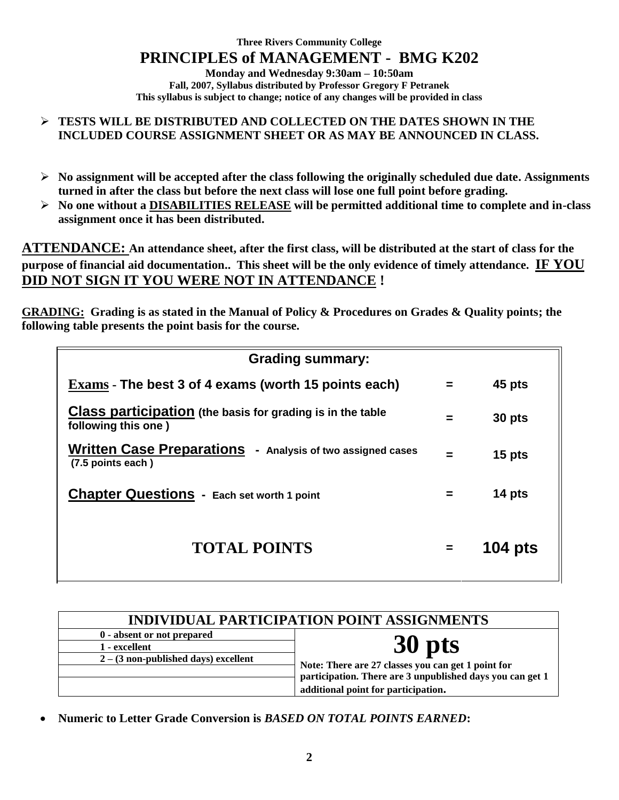**Three Rivers Community College PRINCIPLES of MANAGEMENT - BMG K202 Monday and Wednesday 9:30am – 10:50am Fall, 2007, Syllabus distributed by Professor Gregory F Petranek This syllabus is subject to change; notice of any changes will be provided in class**

#### **TESTS WILL BE DISTRIBUTED AND COLLECTED ON THE DATES SHOWN IN THE INCLUDED COURSE ASSIGNMENT SHEET OR AS MAY BE ANNOUNCED IN CLASS.**

- **No assignment will be accepted after the class following the originally scheduled due date. Assignments turned in after the class but before the next class will lose one full point before grading.**
- **No one without a DISABILITIES RELEASE will be permitted additional time to complete and in-class assignment once it has been distributed.**

**ATTENDANCE: An attendance sheet, after the first class, will be distributed at the start of class for the purpose of financial aid documentation.. This sheet will be the only evidence of timely attendance. IF YOU DID NOT SIGN IT YOU WERE NOT IN ATTENDANCE !**

**GRADING: Grading is as stated in the Manual of Policy & Procedures on Grades & Quality points; the following table presents the point basis for the course.**

| <b>Grading summary:</b>                                                                  |          |                |  |  |
|------------------------------------------------------------------------------------------|----------|----------------|--|--|
| Exams - The best 3 of 4 exams (worth 15 points each)                                     | $=$      | 45 pts         |  |  |
| <b>Class participation</b> (the basis for grading is in the table<br>following this one) | $=$      | 30 pts         |  |  |
| Written Case Preparations - Analysis of two assigned cases<br>(7.5 points each)          | $=$      | 15 pts         |  |  |
| <b>Chapter Questions - Each set worth 1 point</b>                                        |          | 14 pts         |  |  |
| <b>TOTAL POINTS</b>                                                                      | $\equiv$ | <b>104 pts</b> |  |  |

| <b>INDIVIDUAL PARTICIPATION POINT ASSIGNMENTS</b> |                                                                                                                                                        |  |
|---------------------------------------------------|--------------------------------------------------------------------------------------------------------------------------------------------------------|--|
| 0 - absent or not prepared                        |                                                                                                                                                        |  |
| 1 - excellent                                     | 30 pts                                                                                                                                                 |  |
| $2 - (3$ non-published days) excellent            | Note: There are 27 classes you can get 1 point for<br>participation. There are 3 unpublished days you can get 1<br>additional point for participation. |  |

**Numeric to Letter Grade Conversion is** *BASED ON TOTAL POINTS EARNED***:**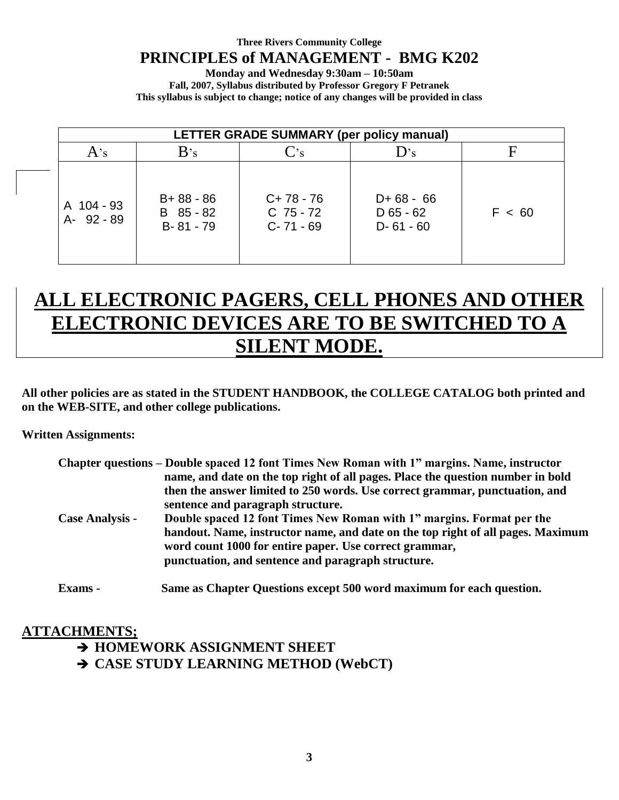#### **Three Rivers Community College**

## **PRINCIPLES of MANAGEMENT - BMG K202**

**Monday and Wednesday 9:30am – 10:50am Fall, 2007, Syllabus distributed by Professor Gregory F Petranek This syllabus is subject to change; notice of any changes will be provided in class**

| LETTER GRADE SUMMARY (per policy manual) |                                             |                                           |                                           |        |
|------------------------------------------|---------------------------------------------|-------------------------------------------|-------------------------------------------|--------|
| $A$ 's                                   | B's                                         | $C_{\rm S}$                               | D's                                       | F      |
| A 104 - 93<br>A- 92 - 89                 | $B + 88 - 86$<br>B 85 - 82<br>$B - 81 - 79$ | $C+78-76$<br>$C$ 75 - 72<br>$C - 71 - 69$ | $D+68-66$<br>$D$ 65 - 62<br>$D - 61 - 60$ | F < 60 |

# **ALL ELECTRONIC PAGERS, CELL PHONES AND OTHER ELECTRONIC DEVICES ARE TO BE SWITCHED TO A SILENT MODE.**

**All other policies are as stated in the STUDENT HANDBOOK, the COLLEGE CATALOG both printed and on the WEB-SITE, and other college publications.**

**Written Assignments:**

| Chapter questions – Double spaced 12 font Times New Roman with 1" margins. Name, instructor |
|---------------------------------------------------------------------------------------------|
| name, and date on the top right of all pages. Place the question number in bold             |
| then the answer limited to 250 words. Use correct grammar, punctuation, and                 |
| sentence and paragraph structure.                                                           |
| Double spaced 12 font Times New Roman with 1" margins. Format per the                       |
| handout. Name, instructor name, and date on the top right of all pages. Maximum             |
| word count 1000 for entire paper. Use correct grammar,                                      |
| punctuation, and sentence and paragraph structure.                                          |
| Same as Chapter Questions except 500 word maximum for each question.                        |
|                                                                                             |

### **ATTACHMENTS;**

**HOMEWORK ASSIGNMENT SHEET**

**CASE STUDY LEARNING METHOD (WebCT)**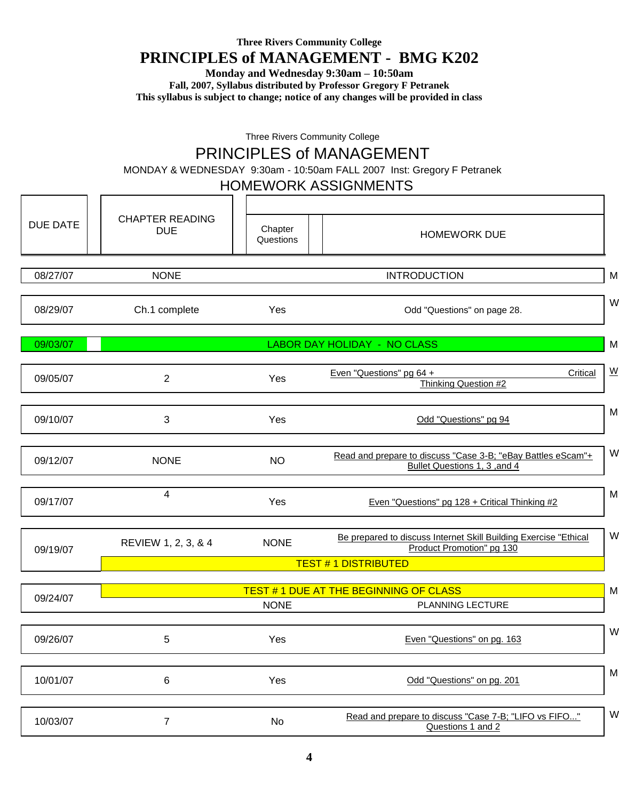### **Three Rivers Community College**

## **PRINCIPLES of MANAGEMENT - BMG K202**

**Monday and Wednesday 9:30am – 10:50am**

**Fall, 2007, Syllabus distributed by Professor Gregory F Petranek**

**This syllabus is subject to change; notice of any changes will be provided in class**

Three Rivers Community College

## PRINCIPLES of MANAGEMENT

MONDAY & WEDNESDAY 9:30am - 10:50am FALL 2007 Inst: Gregory F Petranek

#### HOMEWORK ASSIGNMENTS

| <b>DUE DATE</b> | <b>CHAPTER READING</b><br><b>DUE</b> | Chapter<br>Questions | <b>HOMEWORK DUE</b>                                                                           |                          |
|-----------------|--------------------------------------|----------------------|-----------------------------------------------------------------------------------------------|--------------------------|
| 08/27/07        | <b>NONE</b>                          |                      | <b>INTRODUCTION</b>                                                                           | M                        |
| 08/29/07        | Ch.1 complete                        | Yes                  | Odd "Questions" on page 28.                                                                   | W                        |
| 09/03/07        |                                      |                      | LABOR DAY HOLIDAY - NO CLASS                                                                  | M                        |
| 09/05/07        | $\overline{2}$                       | Yes                  | Even "Questions" pg 64 +<br>Critical<br>Thinking Question #2                                  | $\underline{\mathsf{W}}$ |
| 09/10/07        | 3                                    | Yes                  | Odd "Questions" pg 94                                                                         | M                        |
| 09/12/07        | <b>NONE</b>                          | <b>NO</b>            | Read and prepare to discuss "Case 3-B; "eBay Battles eScam"+<br>Bullet Questions 1, 3, and 4  | W                        |
| 09/17/07        | 4                                    | Yes                  | Even "Questions" pg 128 + Critical Thinking #2                                                | M                        |
| 09/19/07        | REVIEW 1, 2, 3, & 4                  | <b>NONE</b>          | Be prepared to discuss Internet Skill Building Exercise "Ethical<br>Product Promotion" pg 130 | W                        |
|                 |                                      |                      | <b>TEST #1 DISTRIBUTED</b>                                                                    |                          |
| 09/24/07        |                                      | <b>NONE</b>          | <b>TEST #1 DUE AT THE BEGINNING OF CLASS</b><br>PLANNING LECTURE                              | M                        |
| 09/26/07        | 5                                    | Yes                  | Even "Questions" on pg. 163                                                                   | W                        |
| 10/01/07        | 6                                    | Yes                  | Odd "Questions" on pg. 201                                                                    | M                        |
| 10/03/07        | $\overline{7}$                       | No                   | Read and prepare to discuss "Case 7-B; "LIFO vs FIFO"<br>Questions 1 and 2                    | W                        |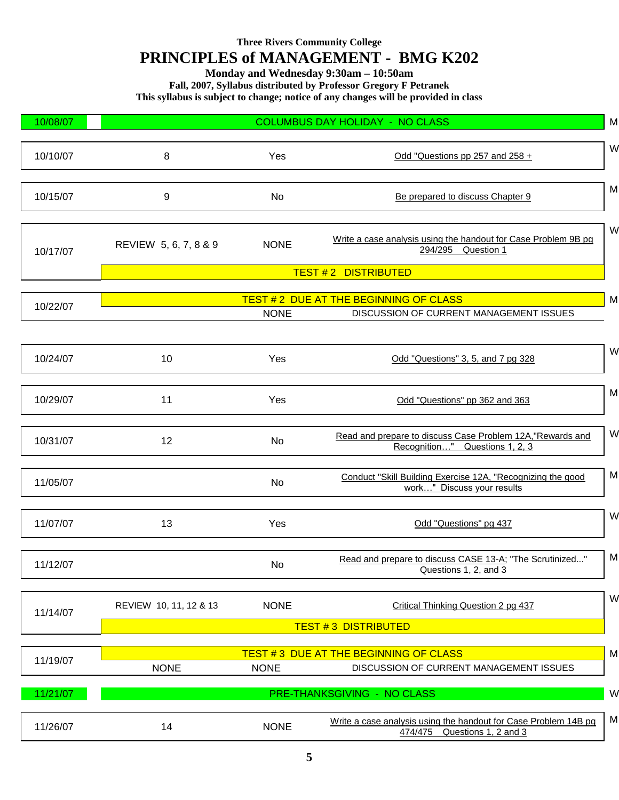#### **Three Rivers Community College**

## **PRINCIPLES of MANAGEMENT - BMG K202**

**Monday and Wednesday 9:30am – 10:50am**

**Fall, 2007, Syllabus distributed by Professor Gregory F Petranek**

**This syllabus is subject to change; notice of any changes will be provided in class**

| 10/08/07 |                                              |             | <b>COLUMBUS DAY HOLIDAY - NO CLASS</b>                                                             | M |  |
|----------|----------------------------------------------|-------------|----------------------------------------------------------------------------------------------------|---|--|
| 10/10/07 | 8                                            | Yes         | Odd "Questions pp 257 and 258 +                                                                    | W |  |
| 10/15/07 | 9                                            | No          | Be prepared to discuss Chapter 9                                                                   | M |  |
| 10/17/07 | REVIEW 5, 6, 7, 8 & 9                        | <b>NONE</b> | Write a case analysis using the handout for Case Problem 9B pg<br>294/295 Question 1               | W |  |
|          |                                              |             | <b>TEST #2 DISTRIBUTED</b>                                                                         |   |  |
|          |                                              |             | <b>TEST #2 DUE AT THE BEGINNING OF CLASS</b>                                                       | M |  |
| 10/22/07 |                                              | <b>NONE</b> | DISCUSSION OF CURRENT MANAGEMENT ISSUES                                                            |   |  |
|          |                                              |             |                                                                                                    |   |  |
| 10/24/07 | 10                                           | Yes         | Odd "Questions" 3, 5, and 7 pg 328                                                                 | W |  |
| 10/29/07 | 11                                           | Yes         | Odd "Questions" pp 362 and 363                                                                     | M |  |
| 10/31/07 | 12                                           | No          | Read and prepare to discuss Case Problem 12A, "Rewards and<br>Recognition" Questions 1, 2, 3       | W |  |
| 11/05/07 |                                              | No          | Conduct "Skill Building Exercise 12A, "Recognizing the good<br>work" Discuss your results          | M |  |
| 11/07/07 | 13                                           | Yes         | Odd "Questions" pg 437                                                                             | W |  |
| 11/12/07 |                                              | No          | Read and prepare to discuss CASE 13-A; "The Scrutinized"<br>Questions 1, 2, and 3                  | M |  |
| 11/14/07 | REVIEW 10, 11, 12 & 13                       | <b>NONE</b> | Critical Thinking Question 2 pg 437                                                                | W |  |
|          | <b>TEST #3 DISTRIBUTED</b>                   |             |                                                                                                    |   |  |
|          | <b>TEST #3 DUE AT THE BEGINNING OF CLASS</b> |             |                                                                                                    |   |  |
| 11/19/07 | <b>NONE</b>                                  | <b>NONE</b> | DISCUSSION OF CURRENT MANAGEMENT ISSUES                                                            | M |  |
|          |                                              |             | PRE-THANKSGIVING - NO CLASS                                                                        | W |  |
| 11/21/07 |                                              |             |                                                                                                    |   |  |
| 11/26/07 | 14                                           | <b>NONE</b> | Write a case analysis using the handout for Case Problem 14B pg<br>Questions 1, 2 and 3<br>474/475 | M |  |